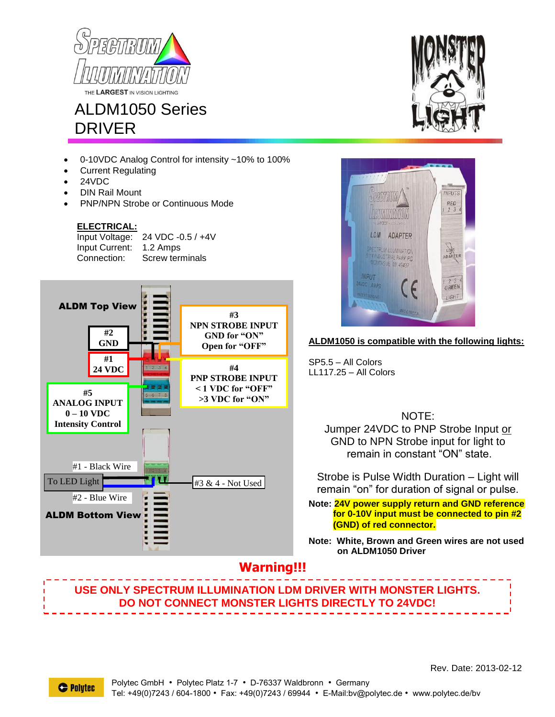

# ALDM1050 Series DRIVER

- 0-10VDC Analog Control for intensity ~10% to 100%
- Current Regulating
- 24VDC
- DIN Rail Mount
- PNP/NPN Strobe or Continuous Mode

#### **ELECTRICAL:**

Input Voltage: 24 VDC -0.5 / +4V Input Current: 1.2 Amps Connection: Screw terminals





### **ALDM1050 is compatible with the following lights:**

SP5.5 – All Colors LL117.25 – All Colors

NOTE:

Jumper 24VDC to PNP Strobe Input or GND to NPN Strobe input for light to remain in constant "ON" state.

Strobe is Pulse Width Duration – Light will remain "on" for duration of signal or pulse.

**Note: 24V power supply return and GND reference for 0-10V input must be connected to pin #2 (GND) of red connector.**

**Note: White, Brown and Green wires are not used on ALDM1050 Driver**

## **Warning!!!**

**USE ONLY SPECTRUM ILLUMINATION LDM DRIVER WITH MONSTER LIGHTS. DO NOT CONNECT MONSTER LIGHTS DIRECTLY TO 24VDC!**

Rev. Date: 2013-02-12